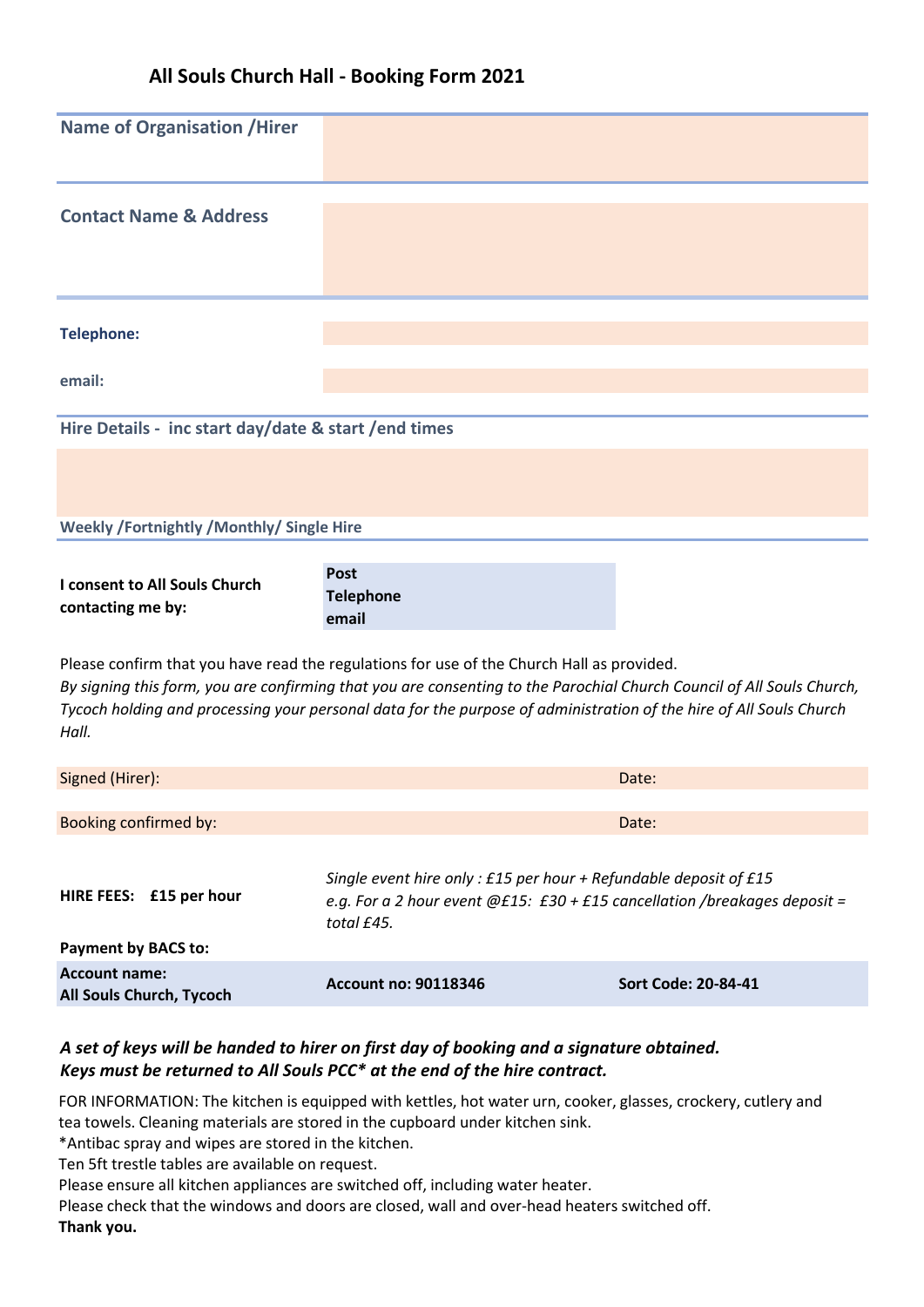# **All Souls Church Hall - Booking Form 2021**

| <b>Name of Organisation / Hirer</b>                                                                                                                                                                                                                                                                                                               |                                                                                                                                                                |                            |  |  |
|---------------------------------------------------------------------------------------------------------------------------------------------------------------------------------------------------------------------------------------------------------------------------------------------------------------------------------------------------|----------------------------------------------------------------------------------------------------------------------------------------------------------------|----------------------------|--|--|
| <b>Contact Name &amp; Address</b>                                                                                                                                                                                                                                                                                                                 |                                                                                                                                                                |                            |  |  |
| <b>Telephone:</b>                                                                                                                                                                                                                                                                                                                                 |                                                                                                                                                                |                            |  |  |
| email:                                                                                                                                                                                                                                                                                                                                            |                                                                                                                                                                |                            |  |  |
| Hire Details - inc start day/date & start / end times                                                                                                                                                                                                                                                                                             |                                                                                                                                                                |                            |  |  |
|                                                                                                                                                                                                                                                                                                                                                   |                                                                                                                                                                |                            |  |  |
| Weekly /Fortnightly /Monthly/ Single Hire                                                                                                                                                                                                                                                                                                         |                                                                                                                                                                |                            |  |  |
| I consent to All Souls Church<br>contacting me by:                                                                                                                                                                                                                                                                                                | <b>Post</b><br><b>Telephone</b><br>email                                                                                                                       |                            |  |  |
| Please confirm that you have read the regulations for use of the Church Hall as provided.<br>By signing this form, you are confirming that you are consenting to the Parochial Church Council of All Souls Church,<br>Tycoch holding and processing your personal data for the purpose of administration of the hire of All Souls Church<br>Hall. |                                                                                                                                                                |                            |  |  |
| Signed (Hirer):                                                                                                                                                                                                                                                                                                                                   |                                                                                                                                                                | Date:                      |  |  |
| Booking confirmed by:                                                                                                                                                                                                                                                                                                                             |                                                                                                                                                                | Date:                      |  |  |
| HIRE FEES: £15 per hour                                                                                                                                                                                                                                                                                                                           | Single event hire only: £15 per hour + Refundable deposit of £15<br>e.g. For a 2 hour event $@E15$ : £30 + £15 cancellation /breakages deposit =<br>total £45. |                            |  |  |
| <b>Payment by BACS to:</b><br><b>Account name:</b>                                                                                                                                                                                                                                                                                                | <b>Account no: 90118346</b>                                                                                                                                    | <b>Sort Code: 20-84-41</b> |  |  |
| All Souls Church, Tycoch                                                                                                                                                                                                                                                                                                                          |                                                                                                                                                                |                            |  |  |

## *A set of keys will be handed to hirer on first day of booking and a signature obtained. Keys must be returned to All Souls PCC\* at the end of the hire contract.*

FOR INFORMATION: The kitchen is equipped with kettles, hot water urn, cooker, glasses, crockery, cutlery and tea towels. Cleaning materials are stored in the cupboard under kitchen sink.

\*Antibac spray and wipes are stored in the kitchen.

Ten 5ft trestle tables are available on request.

Please ensure all kitchen appliances are switched off, including water heater.

Please check that the windows and doors are closed, wall and over-head heaters switched off. **Thank you.**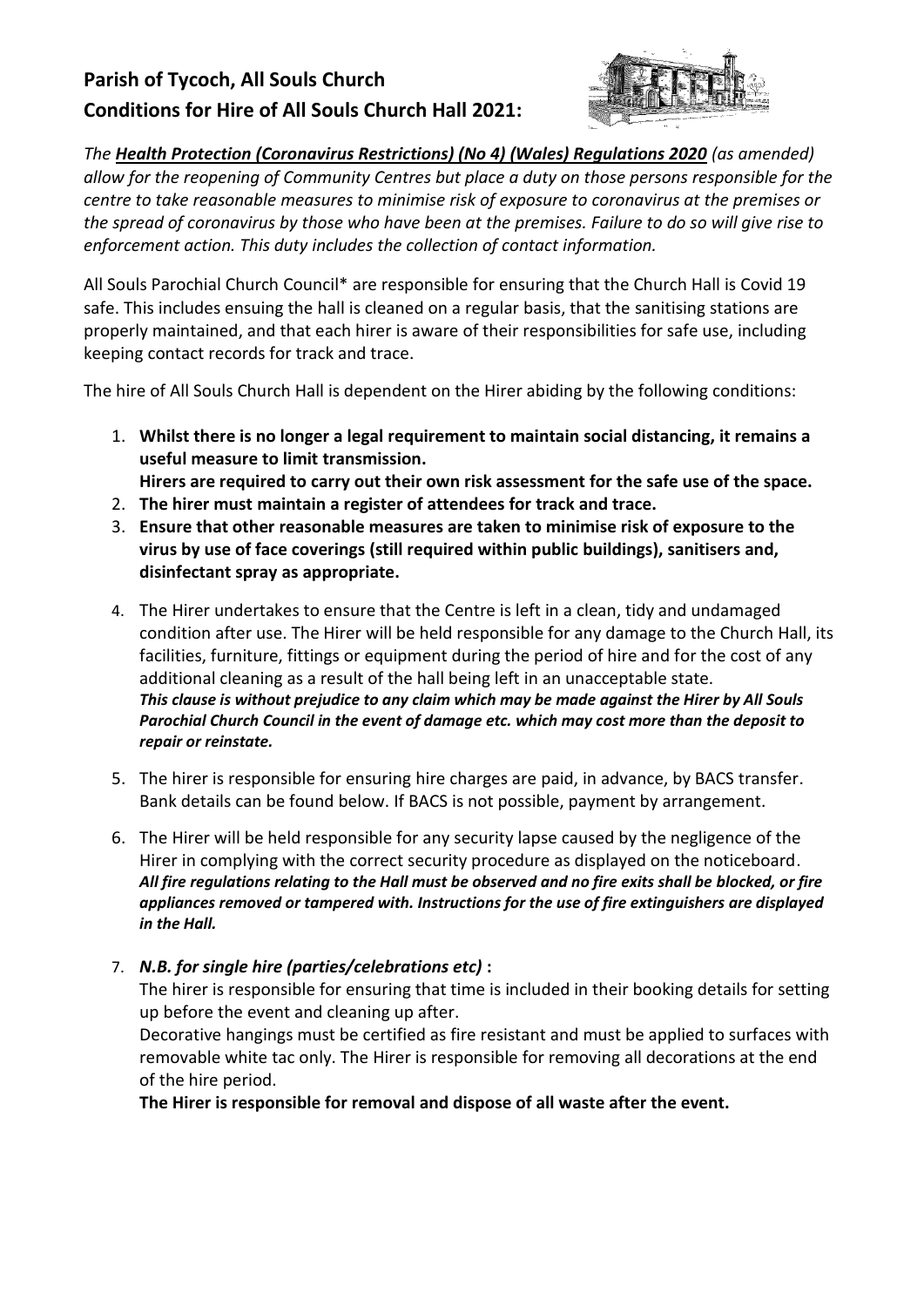# **Parish of Tycoch, All Souls Church Conditions for Hire of All Souls Church Hall 2021:**



*The [Health Protection \(Coronavirus Restrictions\) \(No 4\) \(Wales\) Regulations 2020](https://gov.wales/coronavirus-legislation-and-guidance-law) (as amended) allow for the reopening of Community Centres but place a duty on those persons responsible for the centre to take reasonable measures to minimise risk of exposure to coronavirus at the premises or the spread of coronavirus by those who have been at the premises. Failure to do so will give rise to enforcement action. This duty includes the collection of contact information.*

All Souls Parochial Church Council\* are responsible for ensuring that the Church Hall is Covid 19 safe. This includes ensuing the hall is cleaned on a regular basis, that the sanitising stations are properly maintained, and that each hirer is aware of their responsibilities for safe use, including keeping contact records for track and trace.

The hire of All Souls Church Hall is dependent on the Hirer abiding by the following conditions:

- 1. **Whilst there is no longer a legal requirement to maintain social distancing, it remains a useful measure to limit transmission.** 
	- **Hirers are required to carry out their own risk assessment for the safe use of the space.**
- 2. **The hirer must maintain a register of attendees for track and trace.**
- 3. **Ensure that other reasonable measures are taken to minimise risk of exposure to the virus by use of face coverings (still required within public buildings), sanitisers and, disinfectant spray as appropriate.**
- 4. The Hirer undertakes to ensure that the Centre is left in a clean, tidy and undamaged condition after use. The Hirer will be held responsible for any damage to the Church Hall, its facilities, furniture, fittings or equipment during the period of hire and for the cost of any additional cleaning as a result of the hall being left in an unacceptable state. *This clause is without prejudice to any claim which may be made against the Hirer by All Souls Parochial Church Council in the event of damage etc. which may cost more than the deposit to repair or reinstate.*
- 5. The hirer is responsible for ensuring hire charges are paid, in advance, by BACS transfer. Bank details can be found below. If BACS is not possible, payment by arrangement.
- 6. The Hirer will be held responsible for any security lapse caused by the negligence of the Hirer in complying with the correct security procedure as displayed on the noticeboard. *All fire regulations relating to the Hall must be observed and no fire exits shall be blocked, or fire appliances removed or tampered with. Instructions for the use of fire extinguishers are displayed in the Hall.*

#### 7. *N.B. for single hire (parties/celebrations etc)* **:**

The hirer is responsible for ensuring that time is included in their booking details for setting up before the event and cleaning up after.

Decorative hangings must be certified as fire resistant and must be applied to surfaces with removable white tac only. The Hirer is responsible for removing all decorations at the end of the hire period.

**The Hirer is responsible for removal and dispose of all waste after the event.**